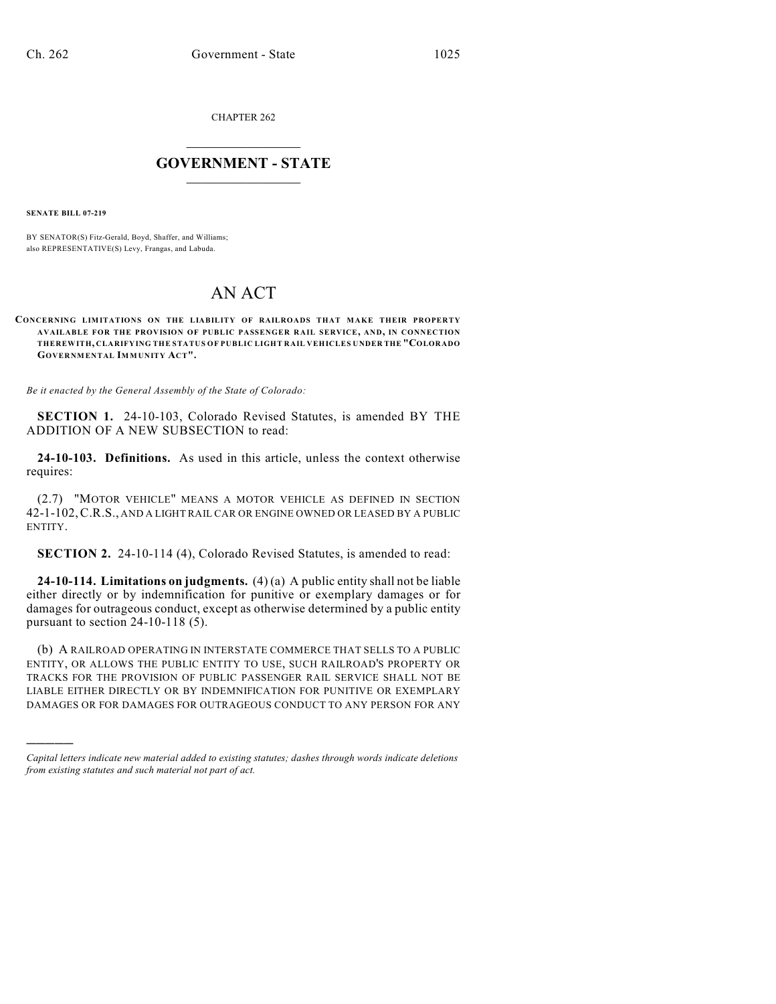CHAPTER 262

## $\mathcal{L}_\text{max}$  . The set of the set of the set of the set of the set of the set of the set of the set of the set of the set of the set of the set of the set of the set of the set of the set of the set of the set of the set **GOVERNMENT - STATE**  $\_$   $\_$   $\_$   $\_$   $\_$   $\_$   $\_$   $\_$

**SENATE BILL 07-219**

)))))

BY SENATOR(S) Fitz-Gerald, Boyd, Shaffer, and Williams; also REPRESENTATIVE(S) Levy, Frangas, and Labuda.

## AN ACT

## **CONCERNING LIMITATIONS ON THE LIABILITY OF RAILROADS THAT MAKE THEIR PROPERTY AVAILABLE FOR THE PROVISION OF PUBLIC PASSENGER RAIL SERVICE, AND, IN CONNECTION THEREWITH, CLARIFYING THE STATUS OF PUBLIC LIGHT RAIL VEHICLES UNDER THE "COLORADO GOVERNMENTAL IMMUNITY ACT".**

*Be it enacted by the General Assembly of the State of Colorado:*

**SECTION 1.** 24-10-103, Colorado Revised Statutes, is amended BY THE ADDITION OF A NEW SUBSECTION to read:

**24-10-103. Definitions.** As used in this article, unless the context otherwise requires:

(2.7) "MOTOR VEHICLE" MEANS A MOTOR VEHICLE AS DEFINED IN SECTION 42-1-102,C.R.S., AND A LIGHT RAIL CAR OR ENGINE OWNED OR LEASED BY A PUBLIC ENTITY.

**SECTION 2.** 24-10-114 (4), Colorado Revised Statutes, is amended to read:

**24-10-114. Limitations on judgments.** (4) (a) A public entity shall not be liable either directly or by indemnification for punitive or exemplary damages or for damages for outrageous conduct, except as otherwise determined by a public entity pursuant to section 24-10-118 (5).

(b) A RAILROAD OPERATING IN INTERSTATE COMMERCE THAT SELLS TO A PUBLIC ENTITY, OR ALLOWS THE PUBLIC ENTITY TO USE, SUCH RAILROAD'S PROPERTY OR TRACKS FOR THE PROVISION OF PUBLIC PASSENGER RAIL SERVICE SHALL NOT BE LIABLE EITHER DIRECTLY OR BY INDEMNIFICATION FOR PUNITIVE OR EXEMPLARY DAMAGES OR FOR DAMAGES FOR OUTRAGEOUS CONDUCT TO ANY PERSON FOR ANY

*Capital letters indicate new material added to existing statutes; dashes through words indicate deletions from existing statutes and such material not part of act.*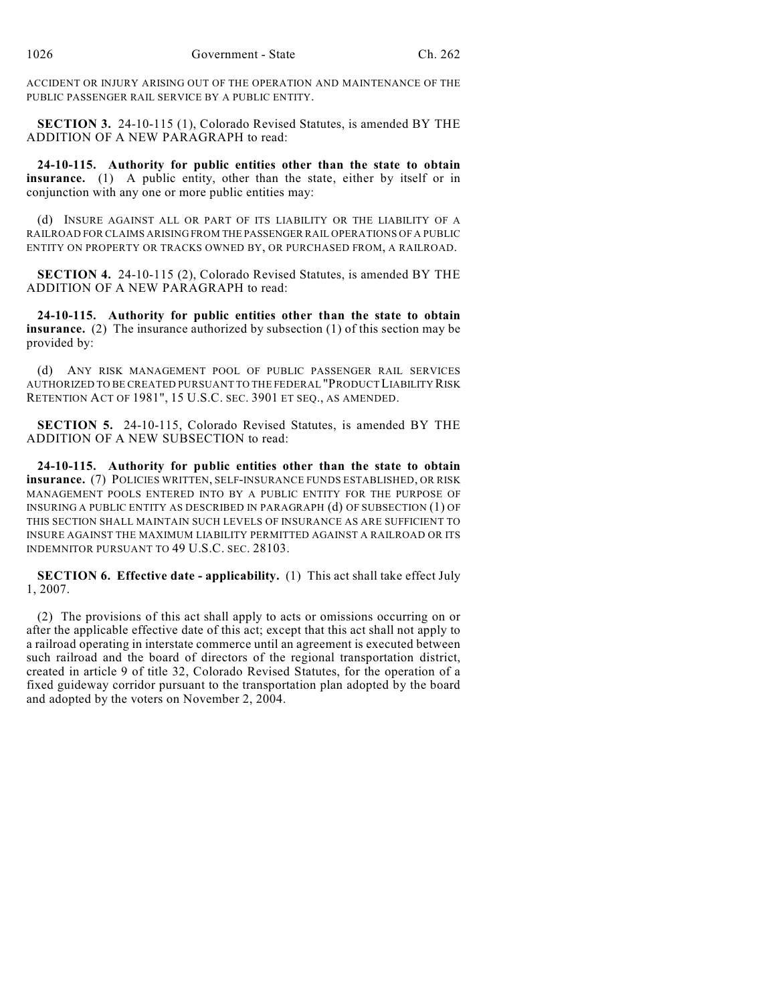ACCIDENT OR INJURY ARISING OUT OF THE OPERATION AND MAINTENANCE OF THE PUBLIC PASSENGER RAIL SERVICE BY A PUBLIC ENTITY.

**SECTION 3.** 24-10-115 (1), Colorado Revised Statutes, is amended BY THE ADDITION OF A NEW PARAGRAPH to read:

**24-10-115. Authority for public entities other than the state to obtain insurance.** (1) A public entity, other than the state, either by itself or in conjunction with any one or more public entities may:

(d) INSURE AGAINST ALL OR PART OF ITS LIABILITY OR THE LIABILITY OF A RAILROAD FOR CLAIMS ARISING FROM THE PASSENGER RAIL OPERATIONS OF A PUBLIC ENTITY ON PROPERTY OR TRACKS OWNED BY, OR PURCHASED FROM, A RAILROAD.

**SECTION 4.** 24-10-115 (2), Colorado Revised Statutes, is amended BY THE ADDITION OF A NEW PARAGRAPH to read:

**24-10-115. Authority for public entities other than the state to obtain insurance.** (2) The insurance authorized by subsection (1) of this section may be provided by:

(d) ANY RISK MANAGEMENT POOL OF PUBLIC PASSENGER RAIL SERVICES AUTHORIZED TO BE CREATED PURSUANT TO THE FEDERAL "PRODUCT LIABILITY RISK RETENTION ACT OF 1981", 15 U.S.C. SEC. 3901 ET SEQ., AS AMENDED.

**SECTION 5.** 24-10-115, Colorado Revised Statutes, is amended BY THE ADDITION OF A NEW SUBSECTION to read:

**24-10-115. Authority for public entities other than the state to obtain insurance.** (7) POLICIES WRITTEN, SELF-INSURANCE FUNDS ESTABLISHED, OR RISK MANAGEMENT POOLS ENTERED INTO BY A PUBLIC ENTITY FOR THE PURPOSE OF INSURING A PUBLIC ENTITY AS DESCRIBED IN PARAGRAPH (d) OF SUBSECTION (1) OF THIS SECTION SHALL MAINTAIN SUCH LEVELS OF INSURANCE AS ARE SUFFICIENT TO INSURE AGAINST THE MAXIMUM LIABILITY PERMITTED AGAINST A RAILROAD OR ITS INDEMNITOR PURSUANT TO 49 U.S.C. SEC. 28103.

**SECTION 6. Effective date - applicability.** (1) This act shall take effect July 1, 2007.

(2) The provisions of this act shall apply to acts or omissions occurring on or after the applicable effective date of this act; except that this act shall not apply to a railroad operating in interstate commerce until an agreement is executed between such railroad and the board of directors of the regional transportation district, created in article 9 of title 32, Colorado Revised Statutes, for the operation of a fixed guideway corridor pursuant to the transportation plan adopted by the board and adopted by the voters on November 2, 2004.